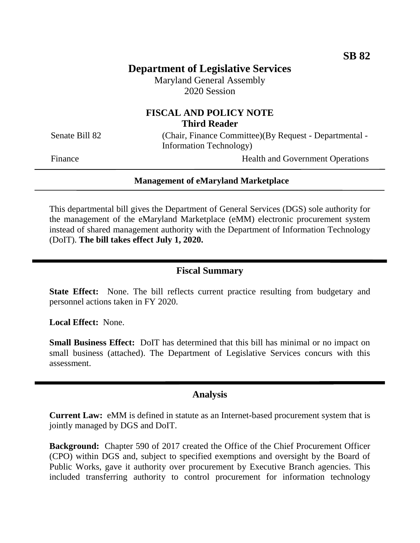# **Department of Legislative Services**

Maryland General Assembly 2020 Session

# **FISCAL AND POLICY NOTE Third Reader**

Senate Bill 82 (Chair, Finance Committee)(By Request - Departmental -Information Technology)

Finance Health and Government Operations

#### **Management of eMaryland Marketplace**

This departmental bill gives the Department of General Services (DGS) sole authority for the management of the eMaryland Marketplace (eMM) electronic procurement system instead of shared management authority with the Department of Information Technology (DoIT). **The bill takes effect July 1, 2020.**

## **Fiscal Summary**

**State Effect:** None. The bill reflects current practice resulting from budgetary and personnel actions taken in FY 2020.

**Local Effect:** None.

**Small Business Effect:** DoIT has determined that this bill has minimal or no impact on small business (attached). The Department of Legislative Services concurs with this assessment.

#### **Analysis**

**Current Law:** eMM is defined in statute as an Internet-based procurement system that is jointly managed by DGS and DoIT.

**Background:** Chapter 590 of 2017 created the Office of the Chief Procurement Officer (CPO) within DGS and, subject to specified exemptions and oversight by the Board of Public Works, gave it authority over procurement by Executive Branch agencies. This included transferring authority to control procurement for information technology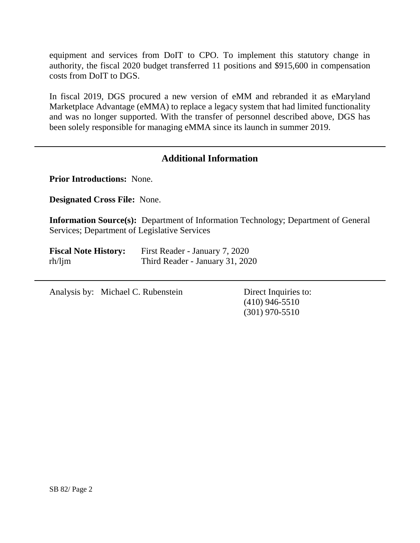equipment and services from DoIT to CPO. To implement this statutory change in authority, the fiscal 2020 budget transferred 11 positions and \$915,600 in compensation costs from DoIT to DGS.

In fiscal 2019, DGS procured a new version of eMM and rebranded it as eMaryland Marketplace Advantage (eMMA) to replace a legacy system that had limited functionality and was no longer supported. With the transfer of personnel described above, DGS has been solely responsible for managing eMMA since its launch in summer 2019.

# **Additional Information**

**Prior Introductions:** None.

**Designated Cross File:** None.

**Information Source(s):** Department of Information Technology; Department of General Services; Department of Legislative Services

| <b>Fiscal Note History:</b> | First Reader - January 7, 2020  |
|-----------------------------|---------------------------------|
| $rh/l$ jm                   | Third Reader - January 31, 2020 |

Analysis by: Michael C. Rubenstein Direct Inquiries to:

(410) 946-5510 (301) 970-5510